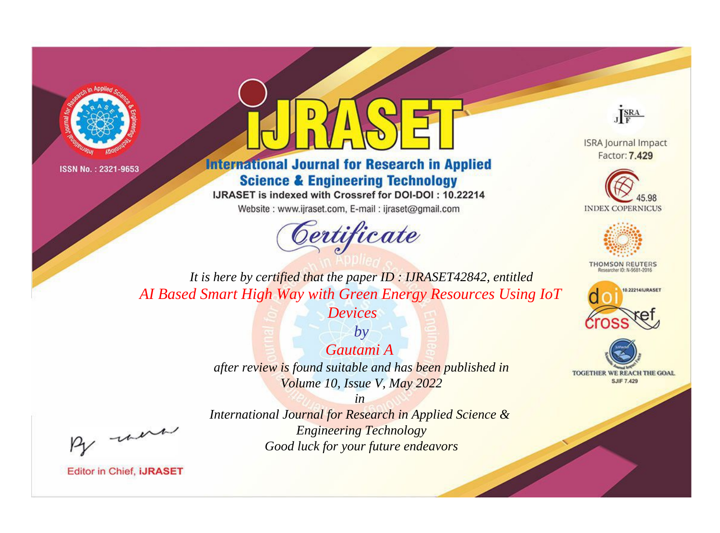



**International Journal for Research in Applied Science & Engineering Technology** 

IJRASET is indexed with Crossref for DOI-DOI: 10.22214

Website: www.ijraset.com, E-mail: ijraset@gmail.com



JERA

**ISRA Journal Impact** Factor: 7.429





**THOMSON REUTERS** 



TOGETHER WE REACH THE GOAL **SJIF 7.429** 

It is here by certified that the paper ID: IJRASET42842, entitled AI Based Smart High Way with Green Energy Resources Using IoT

*Devices* 

 $b\nu$ Gautami A after review is found suitable and has been published in Volume 10, Issue V, May 2022

were

International Journal for Research in Applied Science & **Engineering Technology** Good luck for your future endeavors

 $in$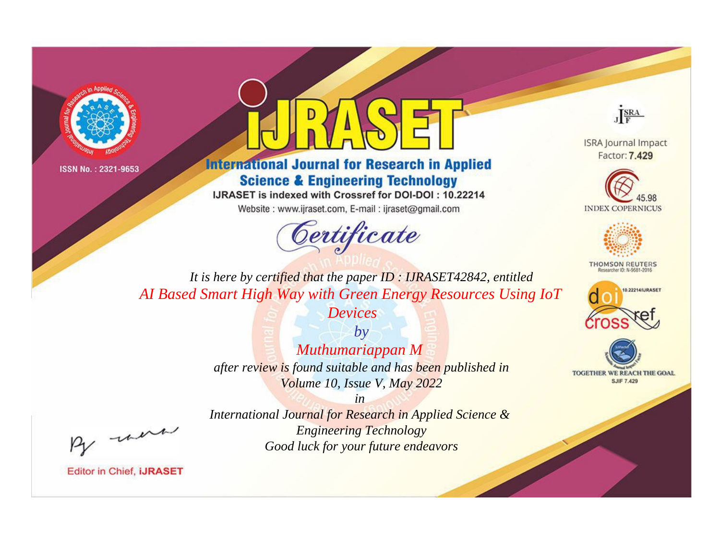



**International Journal for Research in Applied Science & Engineering Technology** 

IJRASET is indexed with Crossref for DOI-DOI: 10.22214

Website: www.ijraset.com, E-mail: ijraset@gmail.com





**ISRA Journal Impact** Factor: 7.429





**THOMSON REUTERS** 



TOGETHER WE REACH THE GOAL **SJIF 7.429** 

*It is here by certified that the paper ID : IJRASET42842, entitled AI Based Smart High Way with Green Energy Resources Using IoT* 

*Devices*

*by Muthumariappan M after review is found suitable and has been published in Volume 10, Issue V, May 2022*

, un

*International Journal for Research in Applied Science & Engineering Technology Good luck for your future endeavors*

*in*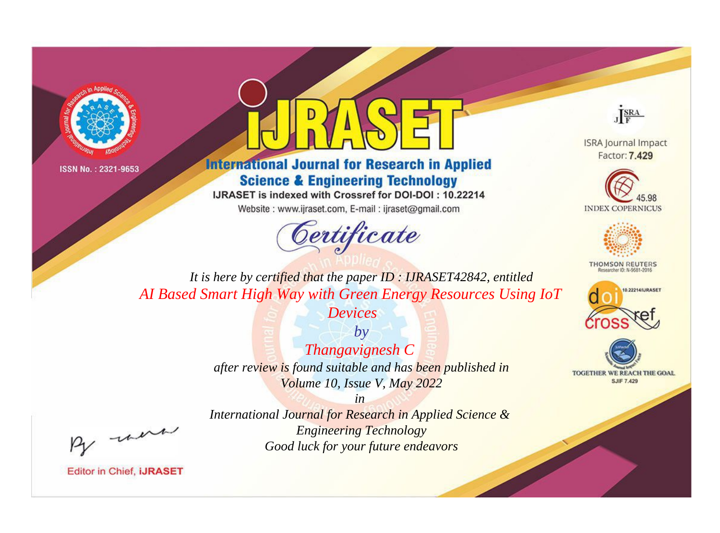



**International Journal for Research in Applied Science & Engineering Technology** 

IJRASET is indexed with Crossref for DOI-DOI: 10.22214

Website: www.ijraset.com, E-mail: ijraset@gmail.com





**ISRA Journal Impact** Factor: 7.429





**THOMSON REUTERS** 



TOGETHER WE REACH THE GOAL **SJIF 7.429** 

*It is here by certified that the paper ID : IJRASET42842, entitled AI Based Smart High Way with Green Energy Resources Using IoT* 

*Devices*

*by Thangavignesh C after review is found suitable and has been published in Volume 10, Issue V, May 2022*

, un

*International Journal for Research in Applied Science & Engineering Technology Good luck for your future endeavors*

*in*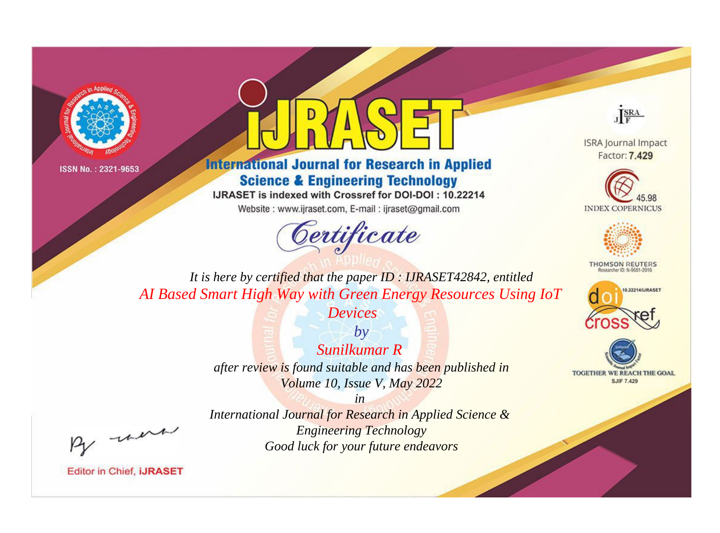



**International Journal for Research in Applied Science & Engineering Technology** 

IJRASET is indexed with Crossref for DOI-DOI: 10.22214

Website: www.ijraset.com, E-mail: ijraset@gmail.com



JERA

**ISRA Journal Impact** Factor: 7.429





**THOMSON REUTERS** 



TOGETHER WE REACH THE GOAL **SJIF 7.429** 

It is here by certified that the paper ID: IJRASET42842, entitled AI Based Smart High Way with Green Energy Resources Using IoT

*Devices* 

 $b\nu$ Sunilkumar R after review is found suitable and has been published in Volume 10, Issue V, May 2022

were

International Journal for Research in Applied Science & **Engineering Technology** Good luck for your future endeavors

 $in$